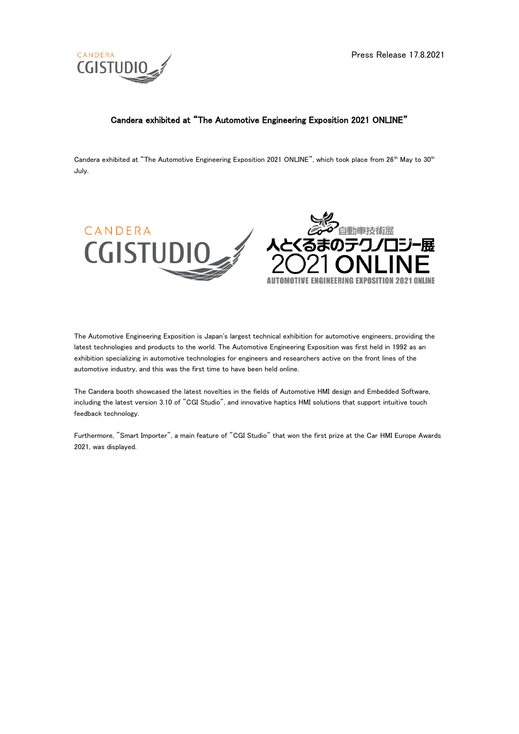

# Candera exhibited at "The Automotive Engineering Exposition 2021 ONLINE"

Candera exhibited at "The Automotive Engineering Exposition 2021 ONLINE", which took place from  $26<sup>th</sup>$  May to  $30<sup>th</sup>$ July.





The Automotive Engineering Exposition is Japan's largest technical exhibition for automotive engineers, providing the latest technologies and products to the world. The Automotive Engineering Exposition was first held in 1992 as an exhibition specializing in automotive technologies for engineers and researchers active on the front lines of the automotive industry, and this was the first time to have been held online.

The Candera booth showcased the latest novelties in the fields of Automotive HMI design and Embedded Software, including the latest version 3.10 of "CGI Studio", and innovative haptics HMI solutions that support intuitive touch feedback technology.

Furthermore, "Smart Importer", a main feature of "CGI Studio" that won the first prize at the Car HMI Europe Awards 2021, was displayed.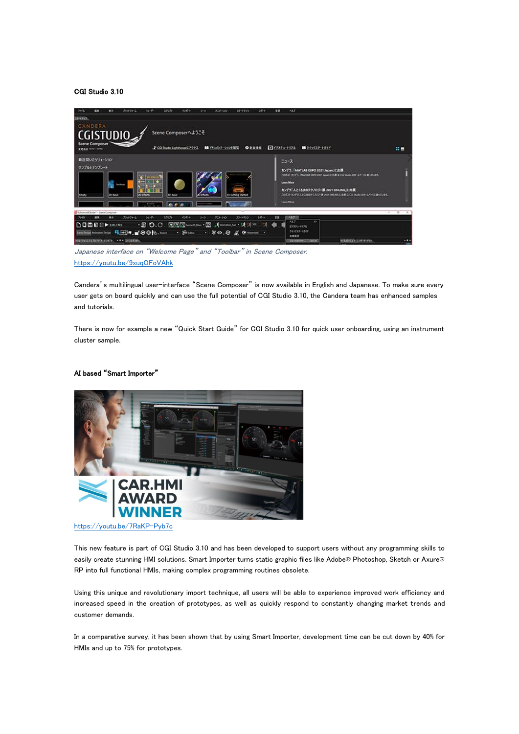#### CGI Studio 3.10

| $1 - 5$<br>700 <sub>h</sub><br><br>$54 - 1 -$<br>1205-8<br>8.0<br><b>Foot 20-6</b><br>エクリプト<br>313-500<br>スチートマック<br>50       | A&F.<br><b>za</b>                                                                                        |                 |
|-------------------------------------------------------------------------------------------------------------------------------|----------------------------------------------------------------------------------------------------------|-----------------|
| スタートアップ                                                                                                                       |                                                                                                          |                 |
| CANDERA                                                                                                                       |                                                                                                          |                 |
| Scene Composerへようこそ<br><b>CGISTUDIO</b>                                                                                       |                                                                                                          |                 |
| Scene Composer                                                                                                                |                                                                                                          |                 |
| ■ PRINCY-2004開業<br><b>O</b> ESSE<br>2 CGI Studio LighthouseS 7922<br>11000 Mint Lares                                         | $E$ <sub>CO</sub> $t$ <sub>2</sub> $t$ <sub>2</sub> $t$ <sub>2</sub> $t$ <sub>2</sub><br>■ 24:2739-1:54E | 出言              |
| 最近関いたソリューション                                                                                                                  |                                                                                                          |                 |
|                                                                                                                               | $21 - 7$                                                                                                 |                 |
| サンプルとテンプレート                                                                                                                   | カンデラ、「MATLAB EXPO 2021 Japan」に出属                                                                         |                 |
| $\bullet$ 120 life(i)                                                                                                         | CORD TO FS. INVITAR DOG 2021 Aprov C.H.M. G CO Study DR-S/T-SC M-TUEF,                                   |                 |
| u                                                                                                                             | <b>Lown More</b>                                                                                         |                 |
|                                                                                                                               | カンデラ「人とくるまのテクノロジー版 2021 ONLINE」に出版                                                                       |                 |
| 20 lifects<br><b>30 hair</b><br><b>O</b> Effects<br>20 Basic<br>Cropsy                                                        | CORD ROTSULECERSTUDY & HIS ONINGER & CO Duck OR LANGERS CHE.                                             |                 |
| <b>Support</b>                                                                                                                | <b>Fasca MAnn</b>                                                                                        |                 |
| AdvertedCluster* - Starte Composer                                                                                            |                                                                                                          | $\overline{13}$ |
| $L = -1$<br>プラックフォーム<br>3,597%<br>$-0.05 - 0.00$<br>$5 - 7$<br>スチットキング<br><b>COL</b><br>$\bullet$<br>50-9-<br>708-990<br>7713 | <b>AXVIII</b><br>77<br>A3.7<br>$\mathcal{F}$                                                             |                 |
| ・皿 り.C. 同周国swages・図  facebooks · オオ※<br><b>DOMES</b> PARKS<br>大白                                                              | 20093-1028                                                                                               |                 |
| Smithing American R.H. (4, of O.O.R., foot<br>$\cdot$ Second $\cdot$ 50.0 K C was $\cdot$                                     | クイックスタートざくド<br><b>DRAW</b>                                                                               |                 |
| 993-56039270-5-X-2)454 - F * 5-033-651                                                                                        | 予想の文化など ラブル<br>Strikeship Column                                                                         |                 |
|                                                                                                                               |                                                                                                          |                 |

Japanese interface on "Welcome Page" and "Toolbar" in Scene Composer. <https://youtu.be/9xuqOFoVAhk>

Candera's multilingual user-interface "Scene Composer" is now available in English and Japanese. To make sure every user gets on board quickly and can use the full potential of CGI Studio 3.10, the Candera team has enhanced samples and tutorials.

There is now for example a new "Quick Start Guide" for CGI Studio 3.10 for quick user onboarding, using an instrument cluster sample.

## AI based "Smart Importer"



<https://youtu.be/7RaKP-Pyb7c>

This new feature is part of CGI Studio 3.10 and has been developed to support users without any programming skills to easily create stunning HMI solutions. Smart Importer turns static graphic files like Adobe® Photoshop, Sketch or Axure® RP into full functional HMIs, making complex programming routines obsolete.

Using this unique and revolutionary import technique, all users will be able to experience improved work efficiency and increased speed in the creation of prototypes, as well as quickly respond to constantly changing market trends and customer demands.

In a comparative survey, it has been shown that by using Smart Importer, development time can be cut down by 40% for HMIs and up to 75% for prototypes.